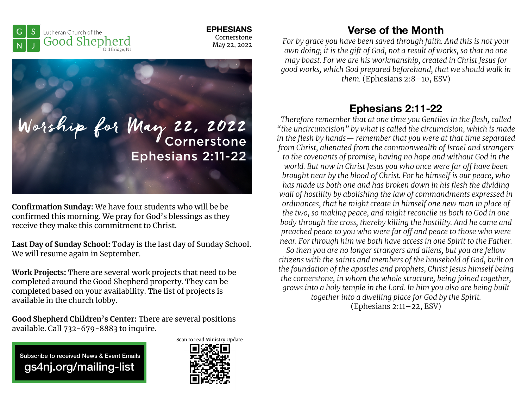

**EPHESIANS**  Cornerstone May 22, 2022



**Confirmation Sunday:** We have four students who will be be confirmed this morning. We pray for God's blessings as they receive they make this commitment to Christ.

**Last Day of Sunday School:** Today is the last day of Sunday School. We will resume again in September.

**Work Projects:** There are several work projects that need to be completed around the Good Shepherd property. They can be completed based on your availability. The list of projects is available in the church lobby.

**Good Shepherd Children's Center:** There are several positions available. Call 732-679-8883 to inquire.

 Subscribe to received News & Event Emails gs4nj.org/mailing-list



## **Verse of the Month**

*For by grace you have been saved through faith. And this is not your own doing; it is the gift of God, not a result of works, so that no one may boast. For we are his workmanship, created in Christ Jesus for good works, which God prepared beforehand, that we should walk in them.* (Ephesians 2:8–10, ESV)

## **Ephesians 2:11-22**

*Therefore remember that at one time you Gentiles in the flesh, called "the uncircumcision" by what is called the circumcision, which is made in the flesh by hands— remember that you were at that time separated from Christ, alienated from the commonwealth of Israel and strangers to the covenants of promise, having no hope and without God in the world. But now in Christ Jesus you who once were far o! have been brought near by the blood of Christ. For he himself is our peace, who has made us both one and has broken down in his flesh the dividing wall of hostility by abolishing the law of commandments expressed in ordinances, that he might create in himself one new man in place of the two, so making peace, and might reconcile us both to God in one body through the cross, thereby killing the hostility. And he came and preached peace to you who were far o! and peace to those who were near. For through him we both have access in one Spirit to the Father.* 

*So then you are no longer strangers and aliens, but you are fellow citizens with the saints and members of the household of God, built on the foundation of the apostles and prophets, Christ Jesus himself being the cornerstone, in whom the whole structure, being joined together, grows into a holy temple in the Lord. In him you also are being built together into a dwelling place for God by the Spirit.* (Ephesians 2:11–22, ESV)